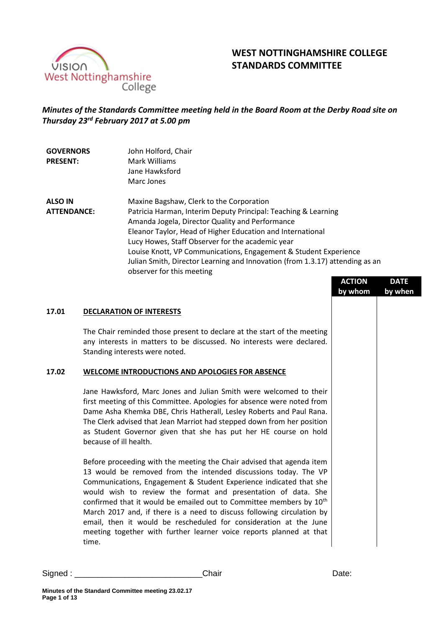

# **WEST NOTTINGHAMSHIRE COLLEGE STANDARDS COMMITTEE**

## *Minutes of the Standards Committee meeting held in the Board Room at the Derby Road site on Thursday 23rd February 2017 at 5.00 pm*

| <b>GOVERNORS</b><br><b>PRESENT:</b> | John Holford, Chair<br>Mark Williams<br>Jane Hawksford<br>Marc Jones                                      |  |
|-------------------------------------|-----------------------------------------------------------------------------------------------------------|--|
| <b>ALSO IN</b>                      | Maxine Bagshaw, Clerk to the Corporation                                                                  |  |
| <b>ATTENDANCE:</b>                  | Patricia Harman, Interim Deputy Principal: Teaching & Learning                                            |  |
|                                     | Amanda Jogela, Director Quality and Performance                                                           |  |
|                                     | Eleanor Taylor, Head of Higher Education and International                                                |  |
|                                     | Lucy Howes, Staff Observer for the academic year                                                          |  |
|                                     | Louise Knott, VP Communications, Engagement & Student Experience                                          |  |
|                                     | Julian Smith, Director Learning and Innovation (from 1.3.17) attending as an<br>observer for this meeting |  |
|                                     | -------                                                                                                   |  |

|       |                                                                                                                                                                                                                                                                                                                                                                                                                                                                                                                                                                                                   | <b>ACTION</b><br>by whom | DAIL<br>by when |
|-------|---------------------------------------------------------------------------------------------------------------------------------------------------------------------------------------------------------------------------------------------------------------------------------------------------------------------------------------------------------------------------------------------------------------------------------------------------------------------------------------------------------------------------------------------------------------------------------------------------|--------------------------|-----------------|
| 17.01 | <b>DECLARATION OF INTERESTS</b>                                                                                                                                                                                                                                                                                                                                                                                                                                                                                                                                                                   |                          |                 |
|       | The Chair reminded those present to declare at the start of the meeting<br>any interests in matters to be discussed. No interests were declared.<br>Standing interests were noted.                                                                                                                                                                                                                                                                                                                                                                                                                |                          |                 |
| 17.02 | <b>WELCOME INTRODUCTIONS AND APOLOGIES FOR ABSENCE</b>                                                                                                                                                                                                                                                                                                                                                                                                                                                                                                                                            |                          |                 |
|       | Jane Hawksford, Marc Jones and Julian Smith were welcomed to their<br>first meeting of this Committee. Apologies for absence were noted from<br>Dame Asha Khemka DBE, Chris Hatherall, Lesley Roberts and Paul Rana.<br>The Clerk advised that Jean Marriot had stepped down from her position<br>as Student Governor given that she has put her HE course on hold<br>because of ill health.                                                                                                                                                                                                      |                          |                 |
|       | Before proceeding with the meeting the Chair advised that agenda item<br>13 would be removed from the intended discussions today. The VP<br>Communications, Engagement & Student Experience indicated that she<br>would wish to review the format and presentation of data. She<br>confirmed that it would be emailed out to Committee members by 10 <sup>th</sup><br>March 2017 and, if there is a need to discuss following circulation by<br>email, then it would be rescheduled for consideration at the June<br>meeting together with further learner voice reports planned at that<br>time. |                          |                 |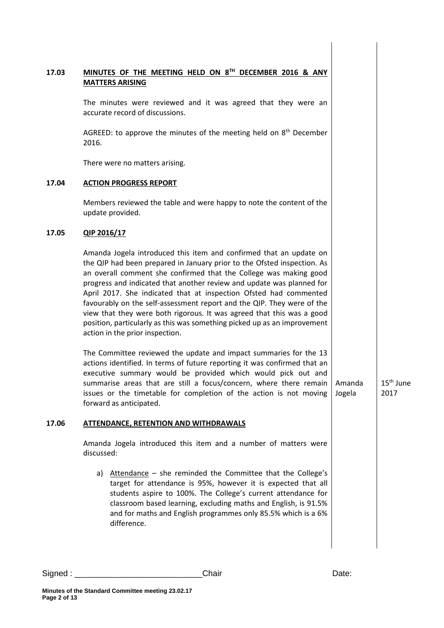| MINUTES OF THE MEETING HELD ON 8TH DECEMBER 2016 & ANY<br><b>MATTERS ARISING</b>                                                                                                                                                                                                                                                                                                                                                                                                                                                                                                                                                                                                                        |                                                                           |                     |
|---------------------------------------------------------------------------------------------------------------------------------------------------------------------------------------------------------------------------------------------------------------------------------------------------------------------------------------------------------------------------------------------------------------------------------------------------------------------------------------------------------------------------------------------------------------------------------------------------------------------------------------------------------------------------------------------------------|---------------------------------------------------------------------------|---------------------|
| The minutes were reviewed and it was agreed that they were an<br>accurate record of discussions.                                                                                                                                                                                                                                                                                                                                                                                                                                                                                                                                                                                                        |                                                                           |                     |
| AGREED: to approve the minutes of the meeting held on 8 <sup>th</sup> December<br>2016.                                                                                                                                                                                                                                                                                                                                                                                                                                                                                                                                                                                                                 |                                                                           |                     |
| There were no matters arising.                                                                                                                                                                                                                                                                                                                                                                                                                                                                                                                                                                                                                                                                          |                                                                           |                     |
| <b>ACTION PROGRESS REPORT</b>                                                                                                                                                                                                                                                                                                                                                                                                                                                                                                                                                                                                                                                                           |                                                                           |                     |
| Members reviewed the table and were happy to note the content of the<br>update provided.                                                                                                                                                                                                                                                                                                                                                                                                                                                                                                                                                                                                                |                                                                           |                     |
| QIP 2016/17                                                                                                                                                                                                                                                                                                                                                                                                                                                                                                                                                                                                                                                                                             |                                                                           |                     |
| Amanda Jogela introduced this item and confirmed that an update on<br>the QIP had been prepared in January prior to the Ofsted inspection. As<br>an overall comment she confirmed that the College was making good<br>progress and indicated that another review and update was planned for<br>April 2017. She indicated that at inspection Ofsted had commented<br>favourably on the self-assessment report and the QIP. They were of the<br>view that they were both rigorous. It was agreed that this was a good<br>position, particularly as this was something picked up as an improvement<br>action in the prior inspection.<br>The Committee reviewed the update and impact summaries for the 13 |                                                                           |                     |
| executive summary would be provided which would pick out and<br>summarise areas that are still a focus/concern, where there remain<br>issues or the timetable for completion of the action is not moving<br>forward as anticipated.                                                                                                                                                                                                                                                                                                                                                                                                                                                                     | Amanda<br>Jogela                                                          | $15th$ June<br>2017 |
| <b>ATTENDANCE, RETENTION AND WITHDRAWALS</b>                                                                                                                                                                                                                                                                                                                                                                                                                                                                                                                                                                                                                                                            |                                                                           |                     |
| Amanda Jogela introduced this item and a number of matters were<br>discussed:                                                                                                                                                                                                                                                                                                                                                                                                                                                                                                                                                                                                                           |                                                                           |                     |
| a) Attendance - she reminded the Committee that the College's<br>target for attendance is 95%, however it is expected that all<br>students aspire to 100%. The College's current attendance for<br>classroom based learning, excluding maths and English, is 91.5%<br>and for maths and English programmes only 85.5% which is a 6%<br>difference.                                                                                                                                                                                                                                                                                                                                                      |                                                                           |                     |
|                                                                                                                                                                                                                                                                                                                                                                                                                                                                                                                                                                                                                                                                                                         | actions identified. In terms of future reporting it was confirmed that an |                     |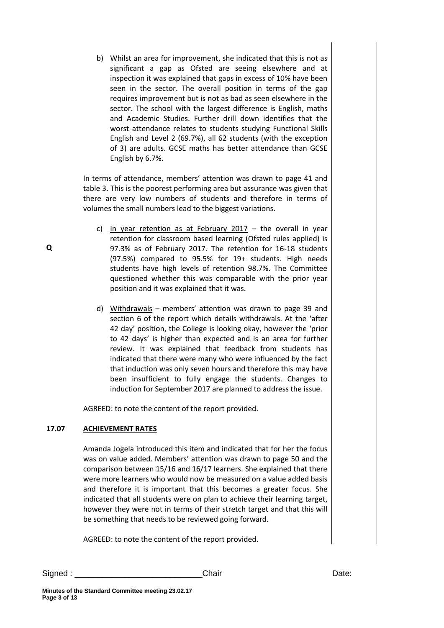b) Whilst an area for improvement, she indicated that this is not as significant a gap as Ofsted are seeing elsewhere and at inspection it was explained that gaps in excess of 10% have been seen in the sector. The overall position in terms of the gap requires improvement but is not as bad as seen elsewhere in the sector. The school with the largest difference is English, maths and Academic Studies. Further drill down identifies that the worst attendance relates to students studying Functional Skills English and Level 2 (69.7%), all 62 students (with the exception of 3) are adults. GCSE maths has better attendance than GCSE English by 6.7%.

In terms of attendance, members' attention was drawn to page 41 and table 3. This is the poorest performing area but assurance was given that there are very low numbers of students and therefore in terms of volumes the small numbers lead to the biggest variations.

- c) In year retention as at February  $2017 -$  the overall in year retention for classroom based learning (Ofsted rules applied) is 97.3% as of February 2017. The retention for 16-18 students (97.5%) compared to 95.5% for 19+ students. High needs students have high levels of retention 98.7%. The Committee questioned whether this was comparable with the prior year position and it was explained that it was.
- d) Withdrawals members' attention was drawn to page 39 and section 6 of the report which details withdrawals. At the 'after 42 day' position, the College is looking okay, however the 'prior to 42 days' is higher than expected and is an area for further review. It was explained that feedback from students has indicated that there were many who were influenced by the fact that induction was only seven hours and therefore this may have been insufficient to fully engage the students. Changes to induction for September 2017 are planned to address the issue.

AGREED: to note the content of the report provided.

### **17.07 ACHIEVEMENT RATES**

Amanda Jogela introduced this item and indicated that for her the focus was on value added. Members' attention was drawn to page 50 and the comparison between 15/16 and 16/17 learners. She explained that there were more learners who would now be measured on a value added basis and therefore it is important that this becomes a greater focus. She indicated that all students were on plan to achieve their learning target, however they were not in terms of their stretch target and that this will be something that needs to be reviewed going forward.

AGREED: to note the content of the report provided.

Signed : \_\_\_\_\_\_\_\_\_\_\_\_\_\_\_\_\_\_\_\_\_\_\_\_\_\_\_\_Chair Date: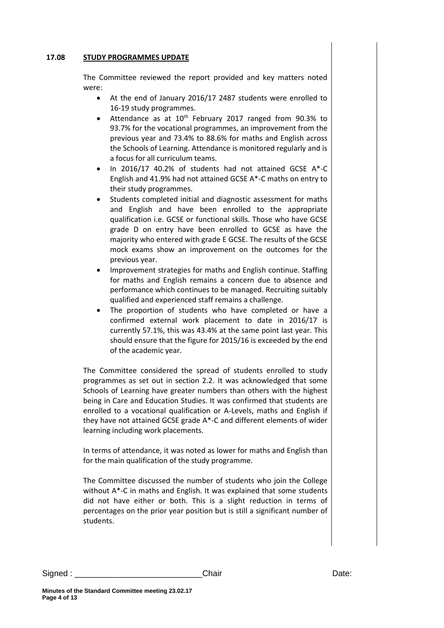#### **17.08 STUDY PROGRAMMES UPDATE**

The Committee reviewed the report provided and key matters noted were:

- At the end of January 2016/17 2487 students were enrolled to 16-19 study programmes.
- Attendance as at  $10^{th}$  February 2017 ranged from 90.3% to 93.7% for the vocational programmes, an improvement from the previous year and 73.4% to 88.6% for maths and English across the Schools of Learning. Attendance is monitored regularly and is a focus for all curriculum teams.
- In 2016/17 40.2% of students had not attained GCSE A\*-C English and 41.9% had not attained GCSE A\*-C maths on entry to their study programmes.
- Students completed initial and diagnostic assessment for maths and English and have been enrolled to the appropriate qualification i.e. GCSE or functional skills. Those who have GCSE grade D on entry have been enrolled to GCSE as have the majority who entered with grade E GCSE. The results of the GCSE mock exams show an improvement on the outcomes for the previous year.
- Improvement strategies for maths and English continue. Staffing for maths and English remains a concern due to absence and performance which continues to be managed. Recruiting suitably qualified and experienced staff remains a challenge.
- The proportion of students who have completed or have a confirmed external work placement to date in 2016/17 is currently 57.1%, this was 43.4% at the same point last year. This should ensure that the figure for 2015/16 is exceeded by the end of the academic year.

The Committee considered the spread of students enrolled to study programmes as set out in section 2.2. It was acknowledged that some Schools of Learning have greater numbers than others with the highest being in Care and Education Studies. It was confirmed that students are enrolled to a vocational qualification or A-Levels, maths and English if they have not attained GCSE grade A\*-C and different elements of wider learning including work placements.

In terms of attendance, it was noted as lower for maths and English than for the main qualification of the study programme.

The Committee discussed the number of students who join the College without A\*-C in maths and English. It was explained that some students did not have either or both. This is a slight reduction in terms of percentages on the prior year position but is still a significant number of students.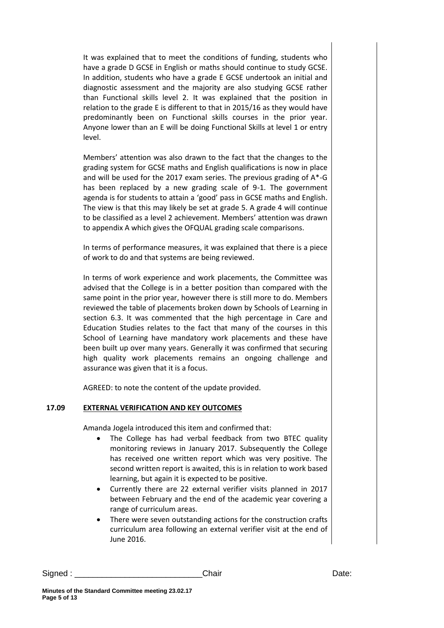It was explained that to meet the conditions of funding, students who have a grade D GCSE in English or maths should continue to study GCSE. In addition, students who have a grade E GCSE undertook an initial and diagnostic assessment and the majority are also studying GCSE rather than Functional skills level 2. It was explained that the position in relation to the grade E is different to that in 2015/16 as they would have predominantly been on Functional skills courses in the prior year. Anyone lower than an E will be doing Functional Skills at level 1 or entry level.

Members' attention was also drawn to the fact that the changes to the grading system for GCSE maths and English qualifications is now in place and will be used for the 2017 exam series. The previous grading of A\*-G has been replaced by a new grading scale of 9-1. The government agenda is for students to attain a 'good' pass in GCSE maths and English. The view is that this may likely be set at grade 5. A grade 4 will continue to be classified as a level 2 achievement. Members' attention was drawn to appendix A which gives the OFQUAL grading scale comparisons.

In terms of performance measures, it was explained that there is a piece of work to do and that systems are being reviewed.

In terms of work experience and work placements, the Committee was advised that the College is in a better position than compared with the same point in the prior year, however there is still more to do. Members reviewed the table of placements broken down by Schools of Learning in section 6.3. It was commented that the high percentage in Care and Education Studies relates to the fact that many of the courses in this School of Learning have mandatory work placements and these have been built up over many years. Generally it was confirmed that securing high quality work placements remains an ongoing challenge and assurance was given that it is a focus.

AGREED: to note the content of the update provided.

### **17.09 EXTERNAL VERIFICATION AND KEY OUTCOMES**

Amanda Jogela introduced this item and confirmed that:

- The College has had verbal feedback from two BTEC quality monitoring reviews in January 2017. Subsequently the College has received one written report which was very positive. The second written report is awaited, this is in relation to work based learning, but again it is expected to be positive.
- Currently there are 22 external verifier visits planned in 2017 between February and the end of the academic year covering a range of curriculum areas.
- There were seven outstanding actions for the construction crafts curriculum area following an external verifier visit at the end of June 2016.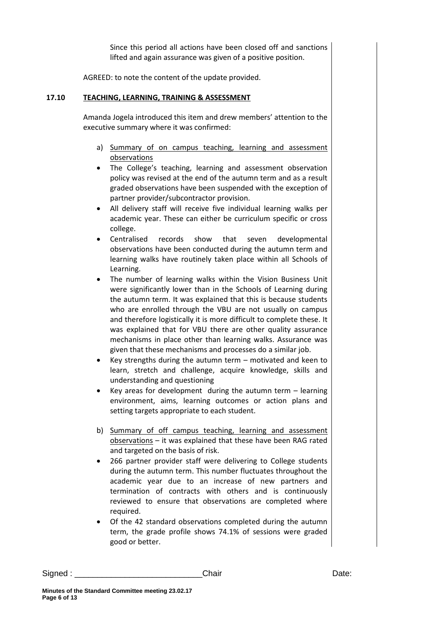Since this period all actions have been closed off and sanctions lifted and again assurance was given of a positive position.

AGREED: to note the content of the update provided.

#### **17.10 TEACHING, LEARNING, TRAINING & ASSESSMENT**

Amanda Jogela introduced this item and drew members' attention to the executive summary where it was confirmed:

- a) Summary of on campus teaching, learning and assessment observations
- The College's teaching, learning and assessment observation policy was revised at the end of the autumn term and as a result graded observations have been suspended with the exception of partner provider/subcontractor provision.
- All delivery staff will receive five individual learning walks per academic year. These can either be curriculum specific or cross college.
- Centralised records show that seven developmental observations have been conducted during the autumn term and learning walks have routinely taken place within all Schools of Learning.
- The number of learning walks within the Vision Business Unit were significantly lower than in the Schools of Learning during the autumn term. It was explained that this is because students who are enrolled through the VBU are not usually on campus and therefore logistically it is more difficult to complete these. It was explained that for VBU there are other quality assurance mechanisms in place other than learning walks. Assurance was given that these mechanisms and processes do a similar job.
- Key strengths during the autumn term motivated and keen to learn, stretch and challenge, acquire knowledge, skills and understanding and questioning
- Key areas for development during the autumn term learning environment, aims, learning outcomes or action plans and setting targets appropriate to each student.
- b) Summary of off campus teaching, learning and assessment observations – it was explained that these have been RAG rated and targeted on the basis of risk.
- 266 partner provider staff were delivering to College students during the autumn term. This number fluctuates throughout the academic year due to an increase of new partners and termination of contracts with others and is continuously reviewed to ensure that observations are completed where required.
- Of the 42 standard observations completed during the autumn term, the grade profile shows 74.1% of sessions were graded good or better.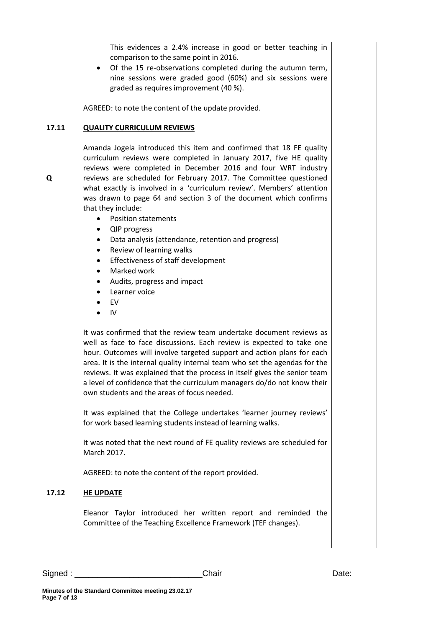This evidences a 2.4% increase in good or better teaching in comparison to the same point in 2016.

 Of the 15 re-observations completed during the autumn term, nine sessions were graded good (60%) and six sessions were graded as requires improvement (40 %).

AGREED: to note the content of the update provided.

#### **17.11 QUALITY CURRICULUM REVIEWS**

**Q**

Amanda Jogela introduced this item and confirmed that 18 FE quality curriculum reviews were completed in January 2017, five HE quality reviews were completed in December 2016 and four WRT industry reviews are scheduled for February 2017. The Committee questioned what exactly is involved in a 'curriculum review'. Members' attention was drawn to page 64 and section 3 of the document which confirms that they include:

- Position statements
- QIP progress
- Data analysis (attendance, retention and progress)
- Review of learning walks
- Effectiveness of staff development
- Marked work
- Audits, progress and impact
- Learner voice
- EV
- $\bullet$  IV

It was confirmed that the review team undertake document reviews as well as face to face discussions. Each review is expected to take one hour. Outcomes will involve targeted support and action plans for each area. It is the internal quality internal team who set the agendas for the reviews. It was explained that the process in itself gives the senior team a level of confidence that the curriculum managers do/do not know their own students and the areas of focus needed.

It was explained that the College undertakes 'learner journey reviews' for work based learning students instead of learning walks.

It was noted that the next round of FE quality reviews are scheduled for March 2017.

AGREED: to note the content of the report provided.

### **17.12 HE UPDATE**

Eleanor Taylor introduced her written report and reminded the Committee of the Teaching Excellence Framework (TEF changes).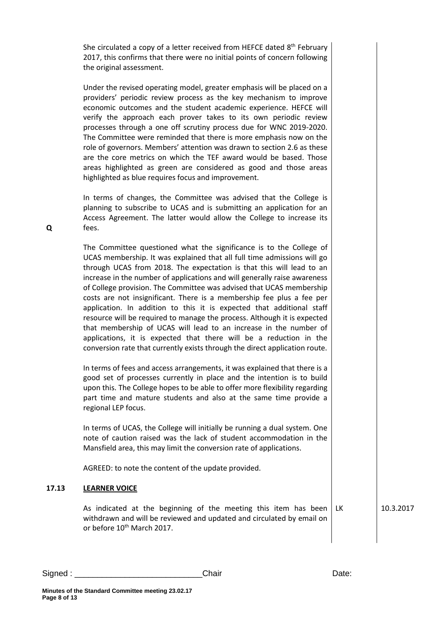She circulated a copy of a letter received from HEFCE dated 8<sup>th</sup> February 2017, this confirms that there were no initial points of concern following the original assessment.

Under the revised operating model, greater emphasis will be placed on a providers' periodic review process as the key mechanism to improve economic outcomes and the student academic experience. HEFCE will verify the approach each prover takes to its own periodic review processes through a one off scrutiny process due for WNC 2019-2020. The Committee were reminded that there is more emphasis now on the role of governors. Members' attention was drawn to section 2.6 as these are the core metrics on which the TEF award would be based. Those areas highlighted as green are considered as good and those areas highlighted as blue requires focus and improvement.

In terms of changes, the Committee was advised that the College is planning to subscribe to UCAS and is submitting an application for an Access Agreement. The latter would allow the College to increase its fees.

The Committee questioned what the significance is to the College of UCAS membership. It was explained that all full time admissions will go through UCAS from 2018. The expectation is that this will lead to an increase in the number of applications and will generally raise awareness of College provision. The Committee was advised that UCAS membership costs are not insignificant. There is a membership fee plus a fee per application. In addition to this it is expected that additional staff resource will be required to manage the process. Although it is expected that membership of UCAS will lead to an increase in the number of applications, it is expected that there will be a reduction in the conversion rate that currently exists through the direct application route.

In terms of fees and access arrangements, it was explained that there is a good set of processes currently in place and the intention is to build upon this. The College hopes to be able to offer more flexibility regarding part time and mature students and also at the same time provide a regional LEP focus.

In terms of UCAS, the College will initially be running a dual system. One note of caution raised was the lack of student accommodation in the Mansfield area, this may limit the conversion rate of applications.

AGREED: to note the content of the update provided.

### **17.13 LEARNER VOICE**

**Minutes of the Standard Committee meeting 23.02.17**

As indicated at the beginning of the meeting this item has been withdrawn and will be reviewed and updated and circulated by email on or before 10th March 2017.

LK 10.3.2017

**Q**

**Page 8 of 13**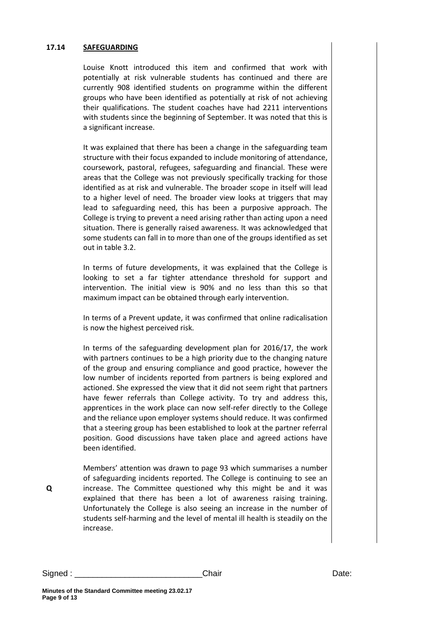#### **17.14 SAFEGUARDING**

Louise Knott introduced this item and confirmed that work with potentially at risk vulnerable students has continued and there are currently 908 identified students on programme within the different groups who have been identified as potentially at risk of not achieving their qualifications. The student coaches have had 2211 interventions with students since the beginning of September. It was noted that this is a significant increase.

It was explained that there has been a change in the safeguarding team structure with their focus expanded to include monitoring of attendance, coursework, pastoral, refugees, safeguarding and financial. These were areas that the College was not previously specifically tracking for those identified as at risk and vulnerable. The broader scope in itself will lead to a higher level of need. The broader view looks at triggers that may lead to safeguarding need, this has been a purposive approach. The College is trying to prevent a need arising rather than acting upon a need situation. There is generally raised awareness. It was acknowledged that some students can fall in to more than one of the groups identified as set out in table 3.2.

In terms of future developments, it was explained that the College is looking to set a far tighter attendance threshold for support and intervention. The initial view is 90% and no less than this so that maximum impact can be obtained through early intervention.

In terms of a Prevent update, it was confirmed that online radicalisation is now the highest perceived risk.

In terms of the safeguarding development plan for 2016/17, the work with partners continues to be a high priority due to the changing nature of the group and ensuring compliance and good practice, however the low number of incidents reported from partners is being explored and actioned. She expressed the view that it did not seem right that partners have fewer referrals than College activity. To try and address this, apprentices in the work place can now self-refer directly to the College and the reliance upon employer systems should reduce. It was confirmed that a steering group has been established to look at the partner referral position. Good discussions have taken place and agreed actions have been identified.

Members' attention was drawn to page 93 which summarises a number of safeguarding incidents reported. The College is continuing to see an increase. The Committee questioned why this might be and it was explained that there has been a lot of awareness raising training. Unfortunately the College is also seeing an increase in the number of students self-harming and the level of mental ill health is steadily on the increase.

**Q**

Signed : \_\_\_\_\_\_\_\_\_\_\_\_\_\_\_\_\_\_\_\_\_\_\_\_\_\_\_\_Chair Date: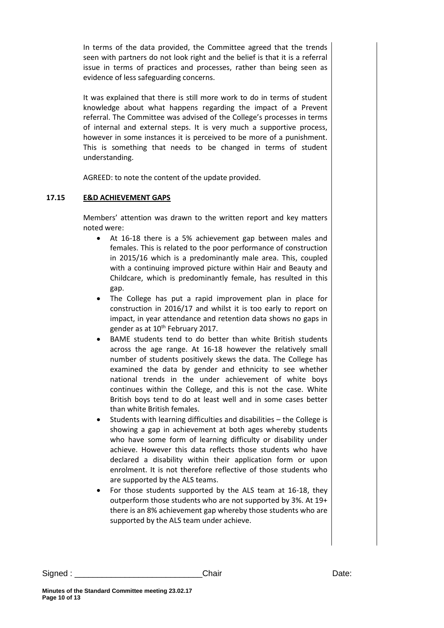In terms of the data provided, the Committee agreed that the trends seen with partners do not look right and the belief is that it is a referral issue in terms of practices and processes, rather than being seen as evidence of less safeguarding concerns.

It was explained that there is still more work to do in terms of student knowledge about what happens regarding the impact of a Prevent referral. The Committee was advised of the College's processes in terms of internal and external steps. It is very much a supportive process, however in some instances it is perceived to be more of a punishment. This is something that needs to be changed in terms of student understanding.

AGREED: to note the content of the update provided.

### **17.15 E&D ACHIEVEMENT GAPS**

Members' attention was drawn to the written report and key matters noted were:

- At 16-18 there is a 5% achievement gap between males and females. This is related to the poor performance of construction in 2015/16 which is a predominantly male area. This, coupled with a continuing improved picture within Hair and Beauty and Childcare, which is predominantly female, has resulted in this gap.
- The College has put a rapid improvement plan in place for construction in 2016/17 and whilst it is too early to report on impact, in year attendance and retention data shows no gaps in gender as at 10<sup>th</sup> February 2017.
- BAME students tend to do better than white British students across the age range. At 16-18 however the relatively small number of students positively skews the data. The College has examined the data by gender and ethnicity to see whether national trends in the under achievement of white boys continues within the College, and this is not the case. White British boys tend to do at least well and in some cases better than white British females.
- Students with learning difficulties and disabilities the College is showing a gap in achievement at both ages whereby students who have some form of learning difficulty or disability under achieve. However this data reflects those students who have declared a disability within their application form or upon enrolment. It is not therefore reflective of those students who are supported by the ALS teams.
- For those students supported by the ALS team at 16-18, they outperform those students who are not supported by 3%. At 19+ there is an 8% achievement gap whereby those students who are supported by the ALS team under achieve.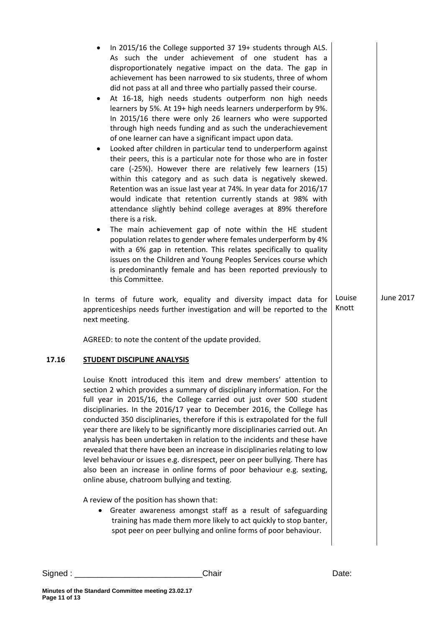| In 2015/16 the College supported 37 19+ students through ALS.<br>As such the under achievement of one student has a<br>disproportionately negative impact on the data. The gap in<br>achievement has been narrowed to six students, three of whom<br>did not pass at all and three who partially passed their course.<br>At 16-18, high needs students outperform non high needs<br>$\bullet$<br>learners by 5%. At 19+ high needs learners underperform by 9%.<br>In 2015/16 there were only 26 learners who were supported<br>through high needs funding and as such the underachievement<br>of one learner can have a significant impact upon data.<br>Looked after children in particular tend to underperform against<br>$\bullet$<br>their peers, this is a particular note for those who are in foster<br>care (-25%). However there are relatively few learners (15)<br>within this category and as such data is negatively skewed.<br>Retention was an issue last year at 74%. In year data for 2016/17<br>would indicate that retention currently stands at 98% with<br>attendance slightly behind college averages at 89% therefore<br>there is a risk.<br>The main achievement gap of note within the HE student<br>٠<br>population relates to gender where females underperform by 4%<br>with a 6% gap in retention. This relates specifically to quality<br>issues on the Children and Young Peoples Services course which<br>is predominantly female and has been reported previously to<br>this Committee.<br>In terms of future work, equality and diversity impact data for | Louise | June 2017 |
|-----------------------------------------------------------------------------------------------------------------------------------------------------------------------------------------------------------------------------------------------------------------------------------------------------------------------------------------------------------------------------------------------------------------------------------------------------------------------------------------------------------------------------------------------------------------------------------------------------------------------------------------------------------------------------------------------------------------------------------------------------------------------------------------------------------------------------------------------------------------------------------------------------------------------------------------------------------------------------------------------------------------------------------------------------------------------------------------------------------------------------------------------------------------------------------------------------------------------------------------------------------------------------------------------------------------------------------------------------------------------------------------------------------------------------------------------------------------------------------------------------------------------------------------------------------------------------------------------|--------|-----------|
| apprenticeships needs further investigation and will be reported to the<br>next meeting.                                                                                                                                                                                                                                                                                                                                                                                                                                                                                                                                                                                                                                                                                                                                                                                                                                                                                                                                                                                                                                                                                                                                                                                                                                                                                                                                                                                                                                                                                                      | Knott  |           |
| AGREED: to note the content of the update provided.                                                                                                                                                                                                                                                                                                                                                                                                                                                                                                                                                                                                                                                                                                                                                                                                                                                                                                                                                                                                                                                                                                                                                                                                                                                                                                                                                                                                                                                                                                                                           |        |           |
| <b>STUDENT DISCIPLINE ANALYSIS</b>                                                                                                                                                                                                                                                                                                                                                                                                                                                                                                                                                                                                                                                                                                                                                                                                                                                                                                                                                                                                                                                                                                                                                                                                                                                                                                                                                                                                                                                                                                                                                            |        |           |
| Louise Knott introduced this item and drew members' attention to<br>section 2 which provides a summary of disciplinary information. For the<br>full year in 2015/16, the College carried out just over 500 student<br>disciplinaries. In the 2016/17 year to December 2016, the College has<br>conducted 350 disciplinaries, therefore if this is extrapolated for the full<br>year there are likely to be significantly more disciplinaries carried out. An<br>analysis has been undertaken in relation to the incidents and these have<br>revealed that there have been an increase in disciplinaries relating to low<br>level behaviour or issues e.g. disrespect, peer on peer bullying. There has<br>also been an increase in online forms of poor behaviour e.g. sexting,<br>online abuse, chatroom bullying and texting.                                                                                                                                                                                                                                                                                                                                                                                                                                                                                                                                                                                                                                                                                                                                                               |        |           |
| A review of the position has shown that:<br>Greater awareness amongst staff as a result of safeguarding<br>٠<br>training has made them more likely to act quickly to stop banter,<br>spot peer on peer bullying and online forms of poor behaviour.                                                                                                                                                                                                                                                                                                                                                                                                                                                                                                                                                                                                                                                                                                                                                                                                                                                                                                                                                                                                                                                                                                                                                                                                                                                                                                                                           |        |           |

**17.16**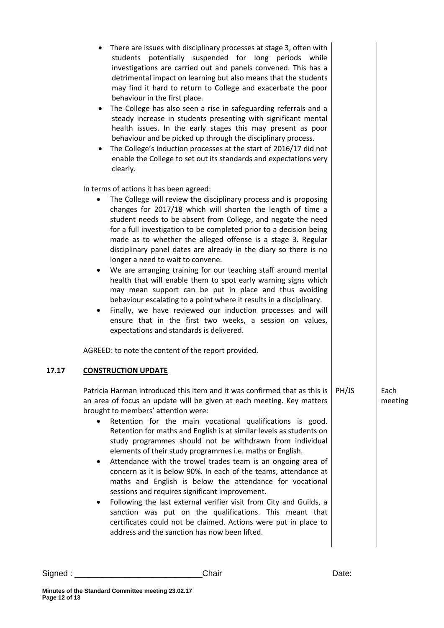| There are issues with disciplinary processes at stage 3, often with<br>students potentially suspended for long periods while<br>investigations are carried out and panels convened. This has a<br>detrimental impact on learning but also means that the students<br>may find it hard to return to College and exacerbate the poor<br>behaviour in the first place.<br>The College has also seen a rise in safeguarding referrals and a<br>٠<br>steady increase in students presenting with significant mental<br>health issues. In the early stages this may present as poor<br>behaviour and be picked up through the disciplinary process.<br>The College's induction processes at the start of 2016/17 did not<br>$\bullet$<br>enable the College to set out its standards and expectations very<br>clearly.                                                                                                                                                                                                                                          |       |                 |
|-----------------------------------------------------------------------------------------------------------------------------------------------------------------------------------------------------------------------------------------------------------------------------------------------------------------------------------------------------------------------------------------------------------------------------------------------------------------------------------------------------------------------------------------------------------------------------------------------------------------------------------------------------------------------------------------------------------------------------------------------------------------------------------------------------------------------------------------------------------------------------------------------------------------------------------------------------------------------------------------------------------------------------------------------------------|-------|-----------------|
| In terms of actions it has been agreed:<br>The College will review the disciplinary process and is proposing<br>$\bullet$<br>changes for 2017/18 which will shorten the length of time a<br>student needs to be absent from College, and negate the need<br>for a full investigation to be completed prior to a decision being<br>made as to whether the alleged offense is a stage 3. Regular<br>disciplinary panel dates are already in the diary so there is no<br>longer a need to wait to convene.<br>We are arranging training for our teaching staff around mental<br>$\bullet$<br>health that will enable them to spot early warning signs which<br>may mean support can be put in place and thus avoiding<br>behaviour escalating to a point where it results in a disciplinary.<br>Finally, we have reviewed our induction processes and will<br>٠<br>ensure that in the first two weeks, a session on values,<br>expectations and standards is delivered.<br>AGREED: to note the content of the report provided.<br><b>CONSTRUCTION UPDATE</b> |       |                 |
| Patricia Harman introduced this item and it was confirmed that as this is<br>an area of focus an update will be given at each meeting. Key matters<br>brought to members' attention were:<br>Retention for the main vocational qualifications is good.<br>$\bullet$<br>Retention for maths and English is at similar levels as students on<br>study programmes should not be withdrawn from individual<br>elements of their study programmes i.e. maths or English.<br>Attendance with the trowel trades team is an ongoing area of<br>$\bullet$<br>concern as it is below 90%. In each of the teams, attendance at<br>maths and English is below the attendance for vocational<br>sessions and requires significant improvement.<br>Following the last external verifier visit from City and Guilds, a<br>٠<br>sanction was put on the qualifications. This meant that<br>certificates could not be claimed. Actions were put in place to<br>address and the sanction has now been lifted.                                                               | PH/JS | Each<br>meeting |

**17.17**